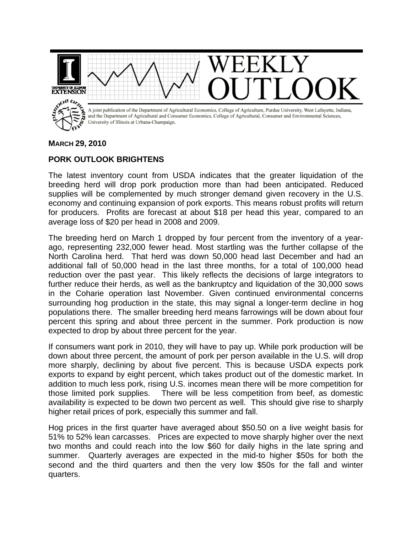

## **MARCH 29, 2010**

## **PORK OUTLOOK BRIGHTENS**

The latest inventory count from USDA indicates that the greater liquidation of the breeding herd will drop pork production more than had been anticipated. Reduced supplies will be complemented by much stronger demand given recovery in the U.S. economy and continuing expansion of pork exports. This means robust profits will return for producers. Profits are forecast at about \$18 per head this year, compared to an average loss of \$20 per head in 2008 and 2009.

The breeding herd on March 1 dropped by four percent from the inventory of a yearago, representing 232,000 fewer head. Most startling was the further collapse of the North Carolina herd. That herd was down 50,000 head last December and had an additional fall of 50,000 head in the last three months, for a total of 100,000 head reduction over the past year. This likely reflects the decisions of large integrators to further reduce their herds, as well as the bankruptcy and liquidation of the 30,000 sows in the Coharie operation last November. Given continued environmental concerns surrounding hog production in the state, this may signal a longer-term decline in hog populations there. The smaller breeding herd means farrowings will be down about four percent this spring and about three percent in the summer. Pork production is now expected to drop by about three percent for the year.

If consumers want pork in 2010, they will have to pay up. While pork production will be down about three percent, the amount of pork per person available in the U.S. will drop more sharply, declining by about five percent. This is because USDA expects pork exports to expand by eight percent, which takes product out of the domestic market. In addition to much less pork, rising U.S. incomes mean there will be more competition for those limited pork supplies. There will be less competition from beef, as domestic availability is expected to be down two percent as well. This should give rise to sharply higher retail prices of pork, especially this summer and fall.

Hog prices in the first quarter have averaged about \$50.50 on a live weight basis for 51% to 52% lean carcasses. Prices are expected to move sharply higher over the next two months and could reach into the low \$60 for daily highs in the late spring and summer. Quarterly averages are expected in the mid-to higher \$50s for both the second and the third quarters and then the very low \$50s for the fall and winter quarters.